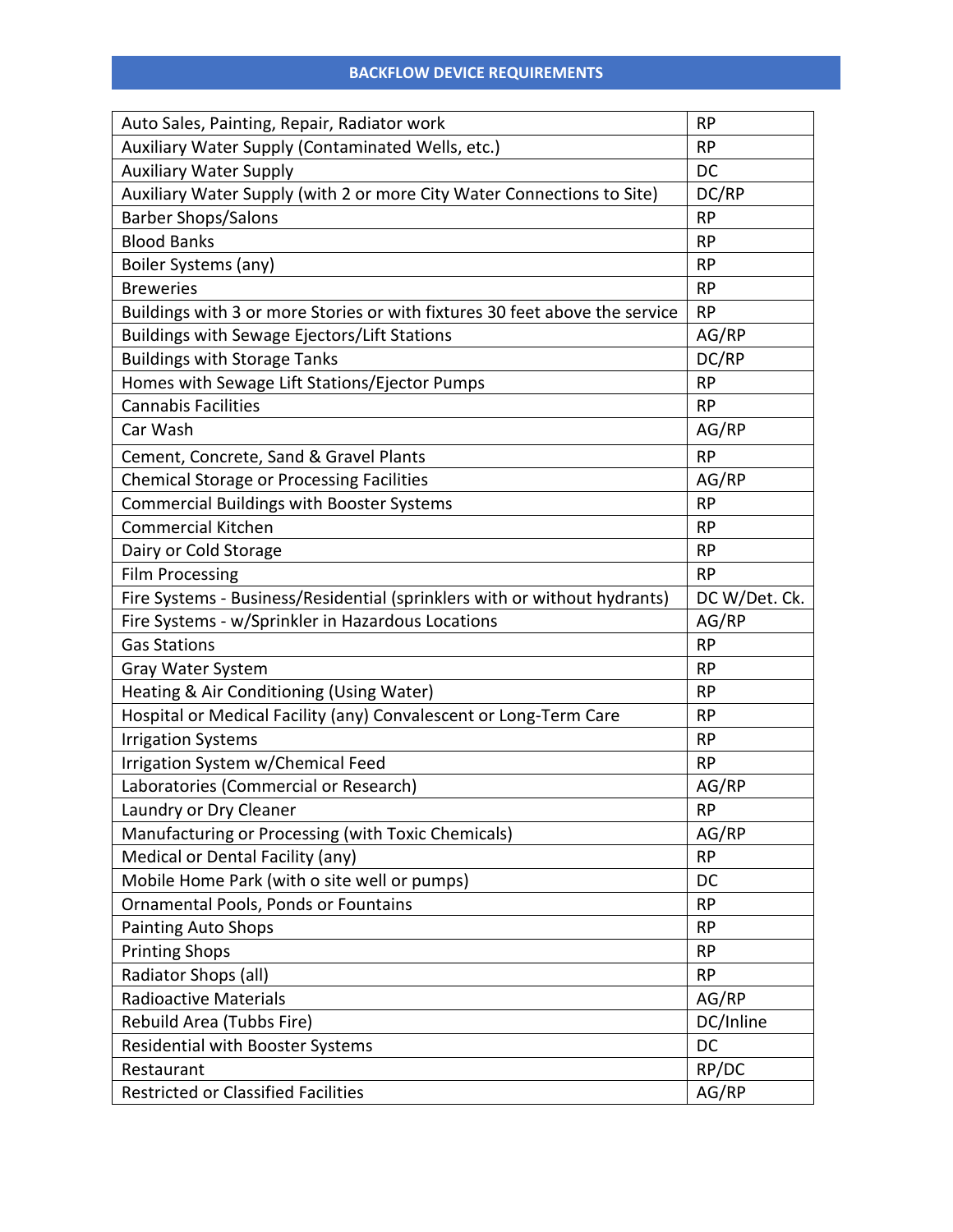| Auto Sales, Painting, Repair, Radiator work                                 | <b>RP</b>     |
|-----------------------------------------------------------------------------|---------------|
| Auxiliary Water Supply (Contaminated Wells, etc.)                           | <b>RP</b>     |
| <b>Auxiliary Water Supply</b>                                               | <b>DC</b>     |
| Auxiliary Water Supply (with 2 or more City Water Connections to Site)      | DC/RP         |
| <b>Barber Shops/Salons</b>                                                  | <b>RP</b>     |
| <b>Blood Banks</b>                                                          | <b>RP</b>     |
| Boiler Systems (any)                                                        | <b>RP</b>     |
| <b>Breweries</b>                                                            | <b>RP</b>     |
| Buildings with 3 or more Stories or with fixtures 30 feet above the service | <b>RP</b>     |
| <b>Buildings with Sewage Ejectors/Lift Stations</b>                         | AG/RP         |
| <b>Buildings with Storage Tanks</b>                                         | DC/RP         |
| Homes with Sewage Lift Stations/Ejector Pumps                               | <b>RP</b>     |
| <b>Cannabis Facilities</b>                                                  | <b>RP</b>     |
| Car Wash                                                                    | AG/RP         |
| Cement, Concrete, Sand & Gravel Plants                                      | <b>RP</b>     |
| <b>Chemical Storage or Processing Facilities</b>                            | AG/RP         |
| <b>Commercial Buildings with Booster Systems</b>                            | <b>RP</b>     |
| <b>Commercial Kitchen</b>                                                   | <b>RP</b>     |
| Dairy or Cold Storage                                                       | <b>RP</b>     |
| <b>Film Processing</b>                                                      | <b>RP</b>     |
| Fire Systems - Business/Residential (sprinklers with or without hydrants)   | DC W/Det. Ck. |
| Fire Systems - w/Sprinkler in Hazardous Locations                           | AG/RP         |
| <b>Gas Stations</b>                                                         | <b>RP</b>     |
| Gray Water System                                                           | <b>RP</b>     |
| Heating & Air Conditioning (Using Water)                                    | <b>RP</b>     |
| Hospital or Medical Facility (any) Convalescent or Long-Term Care           | <b>RP</b>     |
| <b>Irrigation Systems</b>                                                   | <b>RP</b>     |
| Irrigation System w/Chemical Feed                                           | <b>RP</b>     |
| Laboratories (Commercial or Research)                                       | AG/RP         |
| Laundry or Dry Cleaner                                                      | <b>RP</b>     |
| Manufacturing or Processing (with Toxic Chemicals)                          | AG/RP         |
| Medical or Dental Facility (any)                                            | <b>RP</b>     |
| Mobile Home Park (with o site well or pumps)                                | DC            |
| Ornamental Pools, Ponds or Fountains                                        | <b>RP</b>     |
| <b>Painting Auto Shops</b>                                                  | <b>RP</b>     |
| <b>Printing Shops</b>                                                       | <b>RP</b>     |
| Radiator Shops (all)                                                        | <b>RP</b>     |
| <b>Radioactive Materials</b>                                                | AG/RP         |
| Rebuild Area (Tubbs Fire)                                                   | DC/Inline     |
| <b>Residential with Booster Systems</b>                                     | DC            |
| Restaurant                                                                  | RP/DC         |
| <b>Restricted or Classified Facilities</b>                                  | AG/RP         |